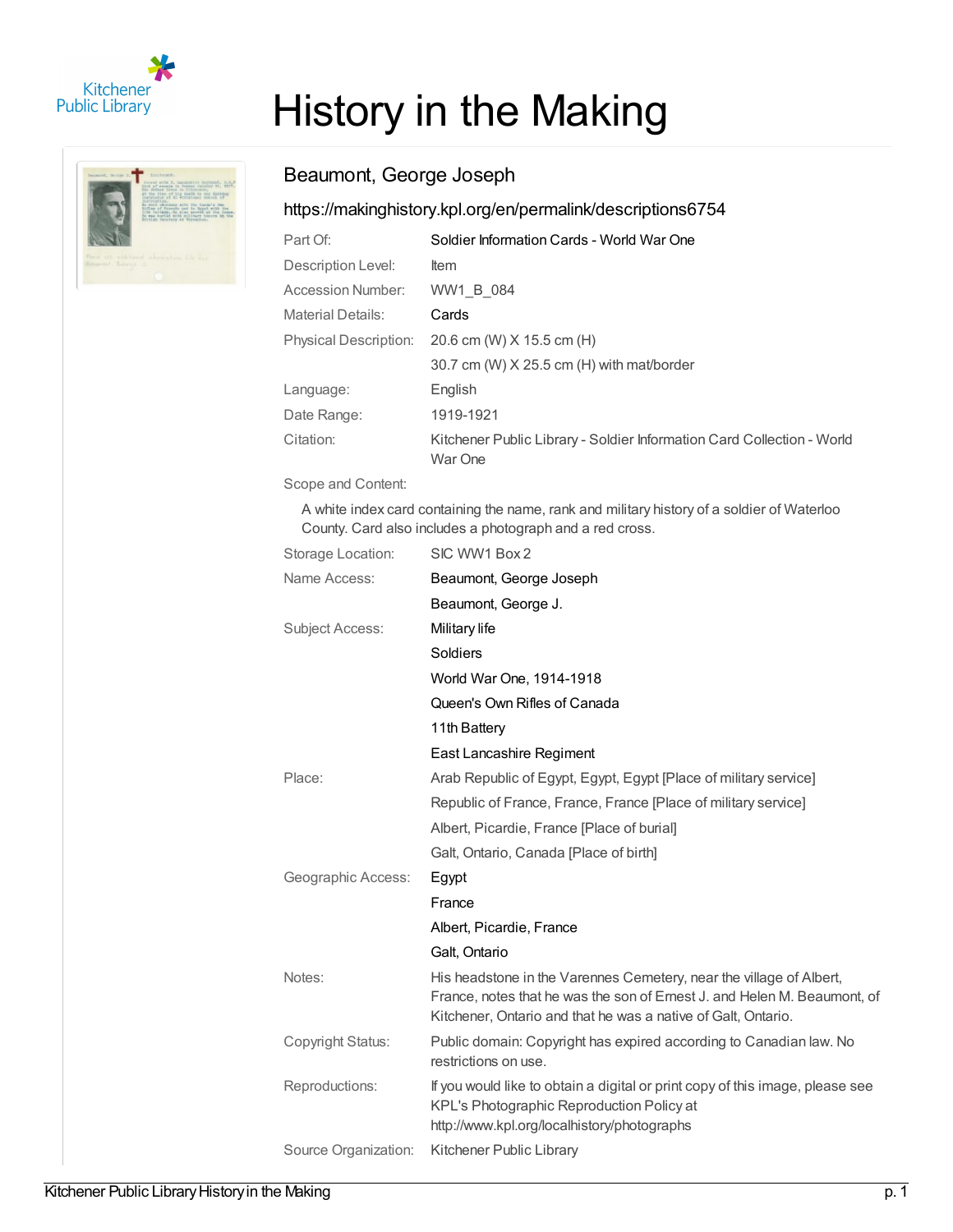



# History in the Making

## Beaumont, George Joseph

## <https://makinghistory.kpl.org/en/permalink/descriptions6754>

| Part Of:                     | Soldier Information Cards - World War One                                         |
|------------------------------|-----------------------------------------------------------------------------------|
| Description Level:           | <b>Item</b>                                                                       |
| Accession Number:            | WW1 B 084                                                                         |
| <b>Material Details:</b>     | Cards                                                                             |
| <b>Physical Description:</b> | 20.6 cm (W) X 15.5 cm (H)                                                         |
|                              | 30.7 cm (W) X 25.5 cm (H) with mat/border                                         |
| Language:                    | English                                                                           |
| Date Range:                  | 1919-1921                                                                         |
| Citation:                    | Kitchener Public Library - Soldier Information Card Collection - World<br>War One |

Scope and Content:

A white index card containing the name, rank and military history of a soldier of Waterloo County. Card also includes a photograph and a red cross.

| Storage Location:      | SIC WW1 Box 2                                                                                                                                                                                                    |
|------------------------|------------------------------------------------------------------------------------------------------------------------------------------------------------------------------------------------------------------|
| Name Access:           | Beaumont, George Joseph                                                                                                                                                                                          |
|                        | Beaumont, George J.                                                                                                                                                                                              |
| <b>Subject Access:</b> | Military life                                                                                                                                                                                                    |
|                        | Soldiers                                                                                                                                                                                                         |
|                        | World War One, 1914-1918                                                                                                                                                                                         |
|                        | Queen's Own Rifles of Canada                                                                                                                                                                                     |
|                        | 11th Battery                                                                                                                                                                                                     |
|                        | East Lancashire Regiment                                                                                                                                                                                         |
| Place:                 | Arab Republic of Egypt, Egypt, Egypt [Place of military service]                                                                                                                                                 |
|                        | Republic of France, France, France [Place of military service]                                                                                                                                                   |
|                        | Albert, Picardie, France [Place of burial]                                                                                                                                                                       |
|                        | Galt, Ontario, Canada [Place of birth]                                                                                                                                                                           |
| Geographic Access:     | Egypt                                                                                                                                                                                                            |
|                        | France                                                                                                                                                                                                           |
|                        | Albert, Picardie, France                                                                                                                                                                                         |
|                        | Galt, Ontario                                                                                                                                                                                                    |
| Notes:                 | His headstone in the Varennes Cemetery, near the village of Albert,<br>France, notes that he was the son of Ernest J. and Helen M. Beaumont, of<br>Kitchener, Ontario and that he was a native of Galt, Ontario. |
| Copyright Status:      | Public domain: Copyright has expired according to Canadian law. No<br>restrictions on use.                                                                                                                       |
| Reproductions:         | If you would like to obtain a digital or print copy of this image, please see<br>KPL's Photographic Reproduction Policy at<br>http://www.kpl.org/localhistory/photographs                                        |
| Source Organization:   | Kitchener Public Library                                                                                                                                                                                         |
|                        |                                                                                                                                                                                                                  |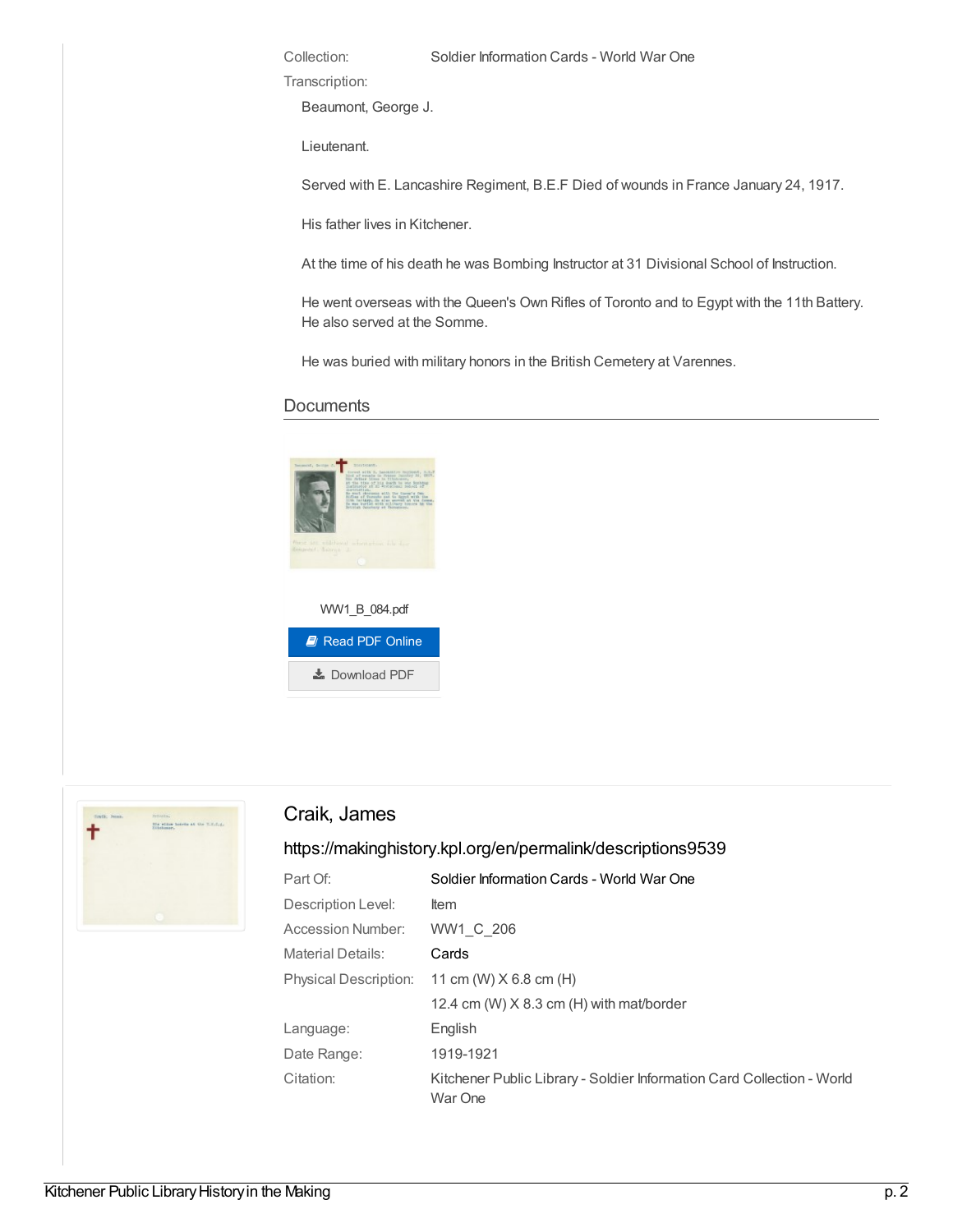Transcription:

Beaumont, George J.

Lieutenant.

Served with E. Lancashire Regiment, B.E.F Died of wounds in France January 24, 1917.

His father lives in Kitchener.

At the time of his death he was Bombing Instructor at 31 Divisional School of Instruction.

He went overseas with the Queen's Own Rifles of Toronto and to Egypt with the 11th Battery. He also served at the Somme.

He was buried with military honors in the British Cemetery at Varennes.

#### **Documents**





### Craik, James

#### <https://makinghistory.kpl.org/en/permalink/descriptions9539>

| Part Of:                 | Soldier Information Cards - World War One                                         |
|--------------------------|-----------------------------------------------------------------------------------|
| Description Level:       | ltem                                                                              |
| Accession Number:        | WW1 C 206                                                                         |
| <b>Material Details:</b> | Cards                                                                             |
|                          | Physical Description: 11 cm (W) X 6.8 cm (H)                                      |
|                          | 12.4 cm (W) $X$ 8.3 cm (H) with mat/border                                        |
| Language:                | English                                                                           |
| Date Range:              | 1919-1921                                                                         |
| Citation:                | Kitchener Public Library - Soldier Information Card Collection - World<br>War One |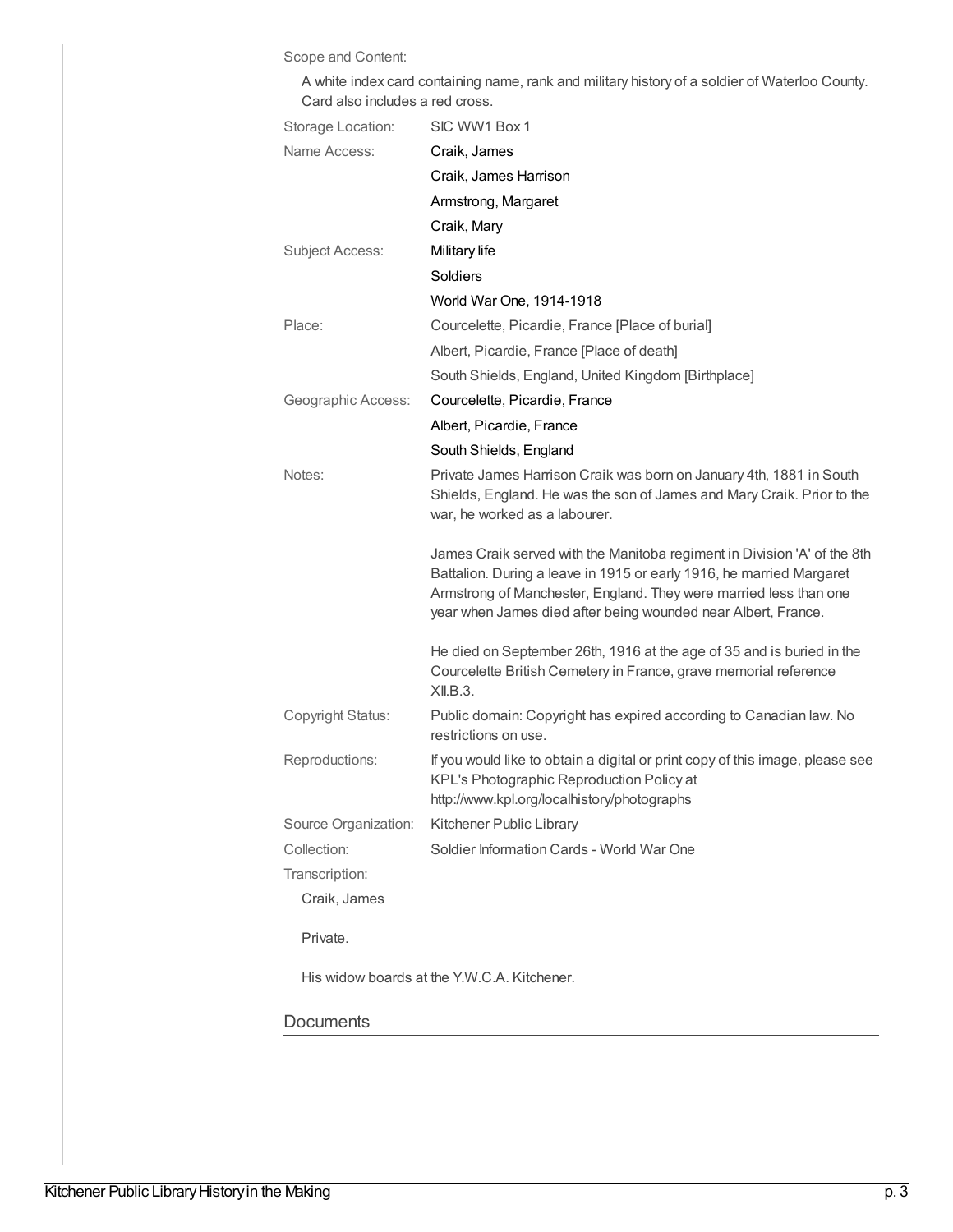Scope and Content:

A white index card containing name, rank and military history of a soldier of Waterloo County. Card also includes a red cross.

| Storage Location:                           | SIC WW1 Box 1                                                                                                                                                                                                                                                                          |  |
|---------------------------------------------|----------------------------------------------------------------------------------------------------------------------------------------------------------------------------------------------------------------------------------------------------------------------------------------|--|
| Name Access:                                | Craik, James                                                                                                                                                                                                                                                                           |  |
|                                             | Craik, James Harrison                                                                                                                                                                                                                                                                  |  |
|                                             | Armstrong, Margaret                                                                                                                                                                                                                                                                    |  |
|                                             | Craik, Mary                                                                                                                                                                                                                                                                            |  |
| Subject Access:                             | Military life                                                                                                                                                                                                                                                                          |  |
|                                             | Soldiers                                                                                                                                                                                                                                                                               |  |
|                                             | World War One, 1914-1918                                                                                                                                                                                                                                                               |  |
| Place:                                      | Courcelette, Picardie, France [Place of burial]                                                                                                                                                                                                                                        |  |
|                                             | Albert, Picardie, France [Place of death]                                                                                                                                                                                                                                              |  |
|                                             | South Shields, England, United Kingdom [Birthplace]                                                                                                                                                                                                                                    |  |
| Geographic Access:                          | Courcelette, Picardie, France                                                                                                                                                                                                                                                          |  |
|                                             | Albert, Picardie, France                                                                                                                                                                                                                                                               |  |
|                                             | South Shields, England                                                                                                                                                                                                                                                                 |  |
| Notes:                                      | Private James Harrison Craik was born on January 4th, 1881 in South<br>Shields, England. He was the son of James and Mary Craik. Prior to the<br>war, he worked as a labourer.                                                                                                         |  |
|                                             | James Craik served with the Manitoba regiment in Division 'A' of the 8th<br>Battalion. During a leave in 1915 or early 1916, he married Margaret<br>Armstrong of Manchester, England. They were married less than one<br>year when James died after being wounded near Albert, France. |  |
|                                             | He died on September 26th, 1916 at the age of 35 and is buried in the<br>Courcelette British Cemetery in France, grave memorial reference<br>XII.B.3.                                                                                                                                  |  |
| Copyright Status:                           | Public domain: Copyright has expired according to Canadian law. No<br>restrictions on use.                                                                                                                                                                                             |  |
| Reproductions:                              | If you would like to obtain a digital or print copy of this image, please see<br>KPL's Photographic Reproduction Policy at<br>http://www.kpl.org/localhistory/photographs                                                                                                              |  |
|                                             | Source Organization: Kitchener Public Library                                                                                                                                                                                                                                          |  |
| Collection:                                 | Soldier Information Cards - World War One                                                                                                                                                                                                                                              |  |
| Transcription:                              |                                                                                                                                                                                                                                                                                        |  |
| Craik, James                                |                                                                                                                                                                                                                                                                                        |  |
| Private.                                    |                                                                                                                                                                                                                                                                                        |  |
| His widow boards at the Y.W.C.A. Kitchener. |                                                                                                                                                                                                                                                                                        |  |
| Documents                                   |                                                                                                                                                                                                                                                                                        |  |